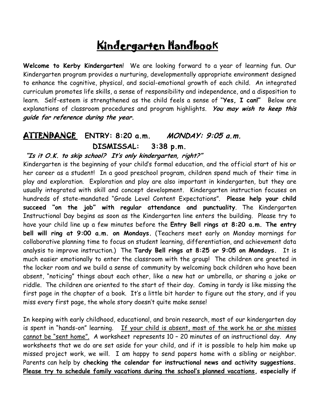# Kindergarten Handbook

**Welcome to Kerby Kindergarten**! We are looking forward to a year of learning fun. Our Kindergarten program provides a nurturing, developmentally appropriate environment designed to enhance the cognitive, physical, and social-emotional growth of each child. An integrated curriculum promotes life skills, a sense of responsibility and independence, and a disposition to learn. Self-esteem is strengthened as the child feels a sense of "**Yes, I can!"** Below are explanations of classroom procedures and program highlights. **You may wish to keep this guide for reference during the year.**

#### ATTENDANCE **ENTRY: 8:20 a.m. MONDAY: 9:05 a.m. DISMISSAL: 3:38 p.m.**

#### **"Is it O.K. to skip school? It's only kindergarten, right?"**

Kindergarten is the beginning of your child's formal education, and the official start of his or her career as a student! In a good preschool program, children spend much of their time in play and exploration. Exploration and play are also important in kindergarten, but they are usually integrated with skill and concept development. Kindergarten instruction focuses on hundreds of state-mandated "Grade Level Content Expectations". **Please help your child succeed "on the job" with regular attendance and punctuality**. The Kindergarten Instructional Day begins as soon as the Kindergarten line enters the building. Please try to have your child line up a few minutes before the **Entry Bell rings at 8:20 a.m. The entry bell will ring at 9:00 a.m. on Mondays.** (Teachers meet early on Monday mornings for collaborative planning time to focus on student learning, differentiation, and achievement data analysis to improve instruction.) The **Tardy Bell rings at 8:25 or 9:05 on Mondays.** It is much easier emotionally to enter the classroom with the group! The children are greeted in the locker room and we build a sense of community by welcoming back children who have been absent, "noticing" things about each other, like a new hat or umbrella, or sharing a joke or riddle. The children are oriented to the start of their day. Coming in tardy is like missing the first page in the chapter of a book. It's a little bit harder to figure out the story, and if you miss every first page, the whole story doesn't quite make sense!

In keeping with early childhood, educational, and brain research, most of our kindergarten day is spent in "hands-on" learning. If your child is absent, most of the work he or she misses cannot be "sent home". A worksheet represents 10 – 20 minutes of an instructional day. Any worksheets that we do are set aside for your child, and if it is possible to help him make up missed project work, we will. I am happy to send papers home with a sibling or neighbor. Parents can help by **checking the calendar for instructional news and activity suggestions. Please try to schedule family vacations during the school's planned vacations, especially if**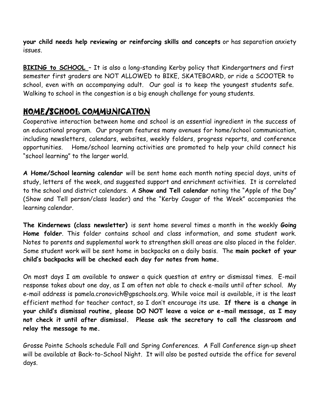**your child needs help reviewing or reinforcing skills and concepts** or has separation anxiety issues.

**BIKING to SCHOOL** – It is also a long-standing Kerby policy that Kindergartners and first semester first graders are NOT ALLOWED to BIKE, SKATEBOARD, or ride a SCOOTER to school, even with an accompanying adult. Our goal is to keep the youngest students safe. Walking to school in the congestion is a big enough challenge for young students.

# HOME/SCHOOL COMMUNICATION

Cooperative interaction between home and school is an essential ingredient in the success of an educational program. Our program features many avenues for home/school communication, including newsletters, calendars, websites, weekly folders, progress reports, and conference opportunities. Home/school learning activities are promoted to help your child connect his "school learning" to the larger world.

**A Home/School learning calendar** will be sent home each month noting special days, units of study, letters of the week, and suggested support and enrichment activities. It is correlated to the school and district calendars. A **Show and Tell calendar** noting the "Apple of the Day" (Show and Tell person/class leader) and the "Kerby Cougar of the Week" accompanies the learning calendar.

**The Kindernews (class newsletter)** is sent home several times a month in the weekly **Going Home folder**. This folder contains school and class information, and some student work. Notes to parents and supplemental work to strengthen skill areas are also placed in the folder. Some student work will be sent home in backpacks on a daily basis. The **main pocket of your child's backpacks will be checked each day for notes from home.**

On most days I am available to answer a quick question at entry or dismissal times. E-mail response takes about one day, as I am often not able to check e-mails until after school. My e-mail address is pamela.cronovich@gpschools.org. While voice mail is available, it is the least efficient method for teacher contact, so I don't encourage its use. **If there is a change in your child's dismissal routine, please DO NOT leave a voice or e-mail message, as I may not check it until after dismissal. Please ask the secretary to call the classroom and relay the message to me.**

Grosse Pointe Schools schedule Fall and Spring Conferences. A Fall Conference sign-up sheet will be available at Back-to-School Night. It will also be posted outside the office for several days.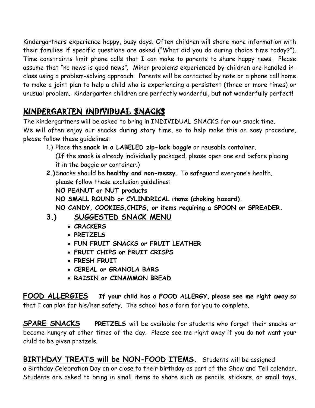Kindergartners experience happy, busy days. Often children will share more information with their families if specific questions are asked ("What did you do during choice time today?"). Time constraints limit phone calls that I can make to parents to share happy news. Please assume that "no news is good news". Minor problems experienced by children are handled inclass using a problem-solving approach. Parents will be contacted by note or a phone call home to make a joint plan to help a child who is experiencing a persistent (three or more times) or unusual problem. Kindergarten children are perfectly wonderful, but not wonderfully perfect!

# KINDERGARTEN INDIVIDUAL SNACKS

The kindergartners will be asked to bring in INDIVIDUAL SNACKS for our snack time. We will often enjoy our snacks during story time, so to help make this an easy procedure, please follow these guidelines:

- 1.) Place the **snack in a LABELED zip-lock baggie** or reusable container. (If the snack is already individually packaged, please open one end before placing it in the baggie or container.)
- **2.)**Snacks should be **healthy and non-messy**. To safeguard everyone's health, please follow these exclusion guidelines: **NO PEANUT or NUT products NO SMALL ROUND or CYLINDRICAL items (choking hazard). NO CANDY, COOKIES,CHIPS, or items requiring a SPOON or SPREADER.**
- **3.) SUGGESTED SNACK MENU**
	- **CRACKERS**
	- **PRETZELS**
	- **FUN FRUIT SNACKS or FRUIT LEATHER**
	- **FRUIT CHIPS or FRUIT CRISPS**
	- **FRESH FRUIT**
	- **CEREAL or GRANOLA BARS**
	- **RAISIN or CINAMMON BREAD**

**FOOD ALLERGIES If your child has a FOOD ALLERGY, please see me right away** so that I can plan for his/her safety. The school has a form for you to complete.

**SPARE SNACKS PRETZELS** will be available for students who forget their snacks or become hungry at other times of the day. Please see me right away if you do not want your child to be given pretzels.

**BIRTHDAY TREATS will be NON-FOOD ITEMS.** Students will be assigned a Birthday Celebration Day on or close to their birthday as part of the Show and Tell calendar. Students are asked to bring in small items to share such as pencils, stickers, or small toys,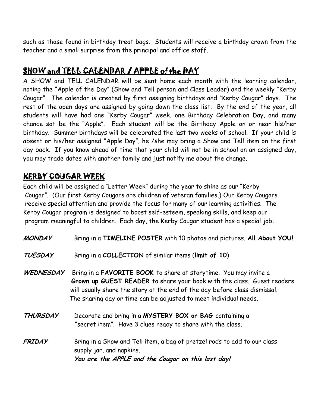such as those found in birthday treat bags. Students will receive a birthday crown from the teacher and a small surprise from the principal and office staff.

# SHOW and TELL CALENDAR / APPLE of the DAY

A SHOW and TELL CALENDAR will be sent home each month with the learning calendar, noting the "Apple of the Day" (Show and Tell person and Class Leader) and the weekly "Kerby Cougar". The calendar is created by first assigning birthdays and "Kerby Cougar" days. The rest of the open days are assigned by going down the class list. By the end of the year, all students will have had one "Kerby Cougar" week, one Birthday Celebration Day, and many chance sot be the "Apple". Each student will be the Birthday Apple on or near his/her birthday. Summer birthdays will be celebrated the last two weeks of school. If your child is absent or his/her assigned "Apple Day", he /she may bring a Show and Tell item on the first day back. If you know ahead of time that your child will not be in school on an assigned day, you may trade dates with another family and just notify me about the change.

# KERBY COUGAR WEEK

Each child will be assigned a "Letter Week" during the year to shine as our "Kerby Cougar". (Our first Kerby Cougars are children of veteran families.) Our Kerby Cougars receive special attention and provide the focus for many of our learning activities. The Kerby Cougar program is designed to boost self-esteem, speaking skills, and keep our program meaningful to children. Each day, the Kerby Cougar student has a special job:

- **MONDAY** Bring in a **TIMELINE POSTER** with 10 photos and pictures, **All About YOU!**
- **TUESDAY** Bring in a **COLLECTION** of similar items (**limit of 10**)
- **WEDNESDAY** Bring in a **FAVORITE BOOK** to share at storytime. You may invite a  **Grown up GUEST READER** to share your book with the class. Guest readers will usually share the story at the end of the day before class dismissal. The sharing day or time can be adjusted to meet individual needs.
- **THURSDAY** Decorate and bring in a **MYSTERY BOX or BAG** containing a "secret item". Have 3 clues ready to share with the class.
- **FRIDAY** Bring in a Show and Tell item, a bag of pretzel rods to add to our class supply jar, and napkins.  **You are the APPLE and the Cougar on this last day!**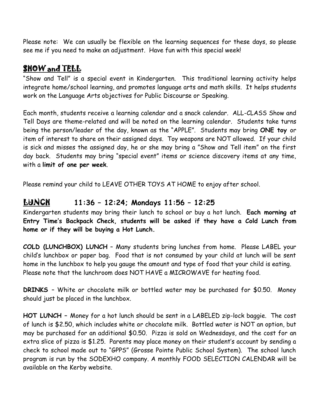Please note: We can usually be flexible on the learning sequences for these days, so please see me if you need to make an adjustment. Have fun with this special week!

# **SHOW and TELL**

"Show and Tell" is a special event in Kindergarten. This traditional learning activity helps integrate home/school learning, and promotes language arts and math skills. It helps students work on the Language Arts objectives for Public Discourse or Speaking.

Each month, students receive a learning calendar and a snack calendar. ALL-CLASS Show and Tell Days are theme-related and will be noted on the learning calendar. Students take turns being the person/leader of the day, known as the "APPLE". Students may bring **ONE toy** or item of interest to share on their assigned days. Toy weapons are NOT allowed. If your child is sick and misses the assigned day, he or she may bring a "Show and Tell item" on the first day back. Students may bring "special event" items or science discovery items at any time, with a **limit of one per week**.

Please remind your child to LEAVE OTHER TOYS AT HOME to enjoy after school.

#### LUNCH **11:36 – 12:24; Mondays 11:56 – 12:25**

Kindergarten students may bring their lunch to school or buy a hot lunch. **Each morning at Entry Time's Backpack Check, students will be asked if they have a Cold Lunch from home or if they will be buying a Hot Lunch.**

**COLD (LUNCHBOX) LUNCH** – Many students bring lunches from home. Please LABEL your child's lunchbox or paper bag. Food that is not consumed by your child at lunch will be sent home in the lunchbox to help you gauge the amount and type of food that your child is eating. Please note that the lunchroom does NOT HAVE a MICROWAVE for heating food.

**DRINKS** – White or chocolate milk or bottled water may be purchased for \$0.50. Money should just be placed in the lunchbox.

**HOT LUNCH –** Money for a hot lunch should be sent in a LABELED zip-lock baggie. The cost of lunch is \$2.50, which includes white or chocolate milk. Bottled water is NOT an option, but may be purchased for an additional \$0.50. Pizza is sold on Wednesdays, and the cost for an extra slice of pizza is \$1.25. Parents may place money on their student's account by sending a check to school made out to "GPPS" (Grosse Pointe Public School System). The school lunch program is run by the SODEXHO company. A monthly FOOD SELECTION CALENDAR will be available on the Kerby website.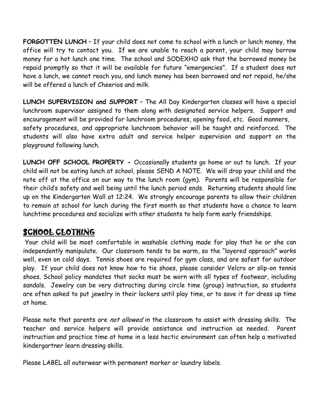**FORGOTTEN LUNCH** – If your child does not come to school with a lunch or lunch money, the office will try to contact you. If we are unable to reach a parent, your child may borrow money for a hot lunch one time. The school and SODEXHO ask that the borrowed money be repaid promptly so that it will be available for future "emergencies". If a student does not have a lunch, we cannot reach you, and lunch money has been borrowed and not repaid, he/she will be offered a lunch of Cheerios and milk.

**LUNCH SUPERVISION and SUPPORT** – The All Day Kindergarten classes will have a special lunchroom supervisor assigned to them along with designated service helpers. Support and encouragement will be provided for lunchroom procedures, opening food, etc. Good manners, safety procedures, and appropriate lunchroom behavior will be taught and reinforced. The students will also have extra adult and service helper supervision and support on the playground following lunch.

**LUNCH OFF SCHOOL PROPERTY -** Occasionally students go home or out to lunch. If your child will not be eating lunch at school, please SEND A NOTE. We will drop your child and the note off at the office on our way to the lunch room (gym). Parents will be responsible for their child's safety and well being until the lunch period ends. Returning students should line up on the Kindergarten Wall at 12:24. We strongly encourage parents to allow their children to remain at school for lunch during the first month so that students have a chance to learn lunchtime procedures and socialize with other students to help form early friendships.

#### SCHOOL CLOTHING

Your child will be most comfortable in washable clothing made for play that he or she can independently manipulate. Our classroom tends to be warm, so the "layered approach" works well, even on cold days. Tennis shoes are required for gym class, and are safest for outdoor play. If your child does not know how to tie shoes, please consider Velcro or slip-on tennis shoes. School policy mandates that socks must be worn with all types of footwear, including sandals. Jewelry can be very distracting during circle time (group) instruction, so students are often asked to put jewelry in their lockers until play time, or to save it for dress up time at home.

Please note that parents are not allowed in the classroom to assist with dressing skills. The teacher and service helpers will provide assistance and instruction as needed. Parent instruction and practice time at home in a less hectic environment can often help a motivated kindergartner learn dressing skills.

Please LABEL all outerwear with permanent marker or laundry labels.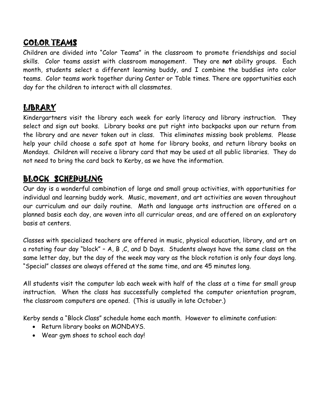# COLOR TEAMS

Children are divided into "Color Teams" in the classroom to promote friendships and social skills. Color teams assist with classroom management. They are **not** ability groups. Each month, students select a different learning buddy, and I combine the buddies into color teams. Color teams work together during Center or Table times. There are opportunities each day for the children to interact with all classmates.

# **LIBRARY**

Kindergartners visit the library each week for early literacy and library instruction. They select and sign out books. Library books are put right into backpacks upon our return from the library and are never taken out in class. This eliminates missing book problems. Please help your child choose a safe spot at home for library books, and return library books on Mondays. Children will receive a library card that may be used at all public libraries. They do not need to bring the card back to Kerby, as we have the information.

# BLOCK SCHEDULING

Our day is a wonderful combination of large and small group activities, with opportunities for individual and learning buddy work. Music, movement, and art activities are woven throughout our curriculum and our daily routine. Math and language arts instruction are offered on a planned basis each day, are woven into all curricular areas, and are offered on an exploratory basis at centers.

Classes with specialized teachers are offered in music, physical education, library, and art on a rotating four day "block" - A, B, C, and D Days. Students always have the same class on the same letter day, but the day of the week may vary as the block rotation is only four days long. "Special" classes are always offered at the same time, and are 45 minutes long.

All students visit the computer lab each week with half of the class at a time for small group instruction. When the class has successfully completed the computer orientation program, the classroom computers are opened. (This is usually in late October.)

Kerby sends a "Block Class" schedule home each month. However to eliminate confusion:

- Return library books on MONDAYS.
- Wear gym shoes to school each day!